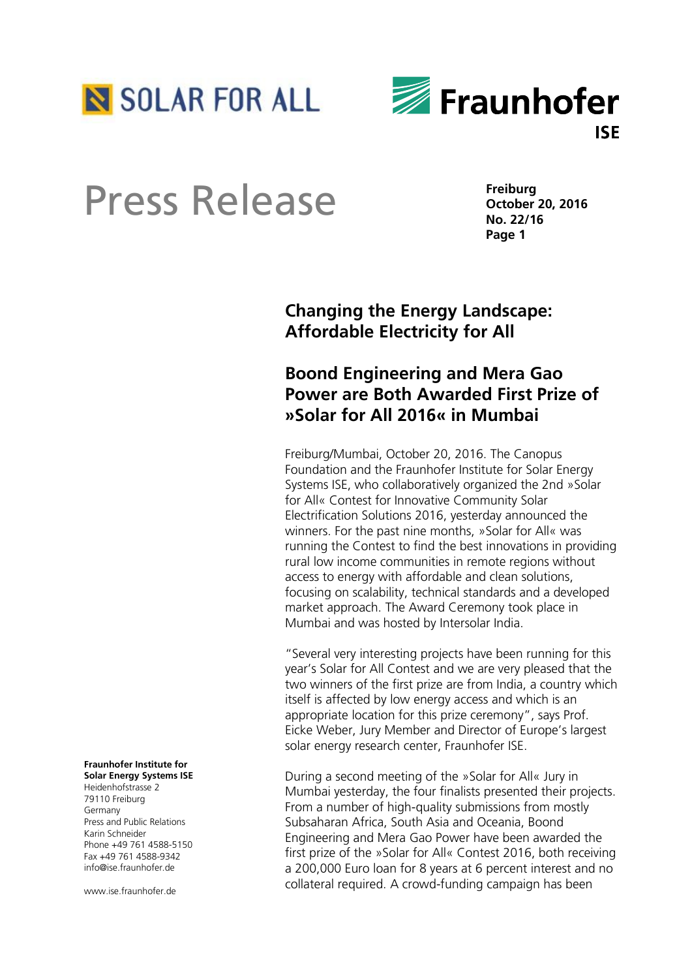



**Freiburg October 20, 2016 No. 22/16 Page 1**

# **Changing the Energy Landscape: Affordable Electricity for All**

# **Boond Engineering and Mera Gao Power are Both Awarded First Prize of »Solar for All 2016« in Mumbai**

Freiburg/Mumbai, October 20, 2016. The Canopus Foundation and the Fraunhofer Institute for Solar Energy Systems ISE, who collaboratively organized the 2nd »Solar for All« Contest for Innovative Community Solar Electrification Solutions 2016, yesterday announced the winners. For the past nine months, »Solar for All« was running the Contest to find the best innovations in providing rural low income communities in remote regions without access to energy with affordable and clean solutions, focusing on scalability, technical standards and a developed market approach. The Award Ceremony took place in Mumbai and was hosted by Intersolar India.

"Several very interesting projects have been running for this year's Solar for All Contest and we are very pleased that the two winners of the first prize are from India, a country which itself is affected by low energy access and which is an appropriate location for this prize ceremony", says Prof. Eicke Weber, Jury Member and Director of Europe's largest solar energy research center, Fraunhofer ISE.

During a second meeting of the »Solar for All« Jury in Mumbai yesterday, the four finalists presented their projects. From a number of high-quality submissions from mostly Subsaharan Africa, South Asia and Oceania, Boond Engineering and Mera Gao Power have been awarded the first prize of the »Solar for All« Contest 2016, both receiving a 200,000 Euro loan for 8 years at 6 percent interest and no collateral required. A crowd-funding campaign has been

### **Fraunhofer Institute for Solar Energy Systems ISE**

Heidenhofstrasse 2 79110 Freiburg Germany Press and Public Relations Karin Schneider Phone +49 761 4588-5150 Fax +49 761 4588-9342 info@ise.fraunhofer.de

www.ise.fraunhofer.de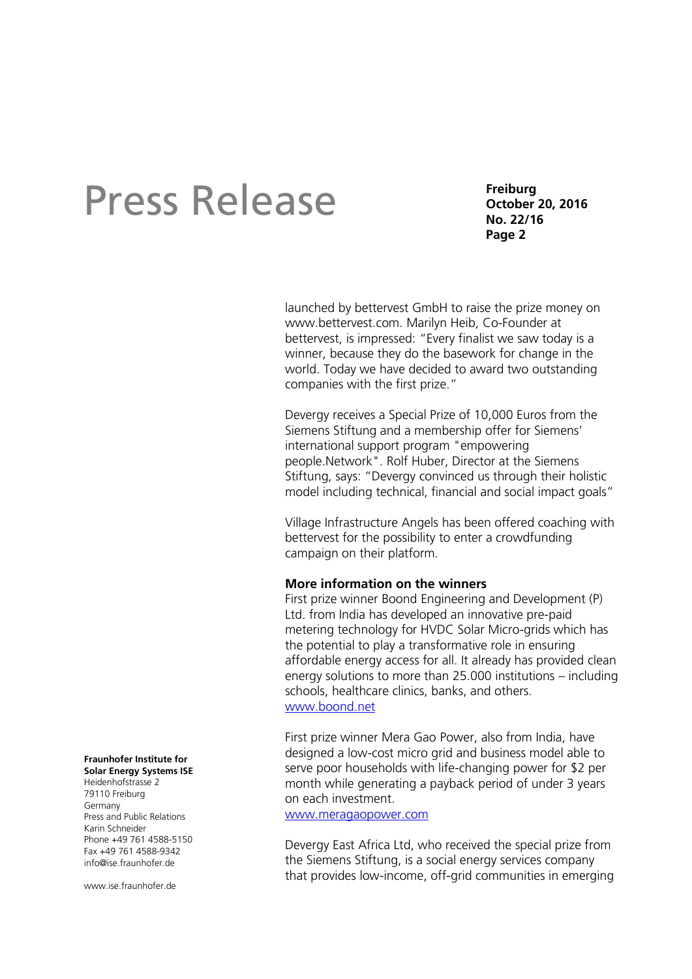**Freiburg October 20, 2016 No. 22/16 Page 2**

launched by bettervest GmbH to raise the prize money on www.bettervest.com. Marilyn Heib, Co-Founder at bettervest, is impressed: "Every finalist we saw today is a winner, because they do the basework for change in the world. Today we have decided to award two outstanding companies with the first prize."

Devergy receives a Special Prize of 10,000 Euros from the Siemens Stiftung and a membership offer for Siemens' international support program "empowering people.Network". Rolf Huber, Director at the Siemens Stiftung, says: "Devergy convinced us through their holistic model including technical, financial and social impact goals"

Village Infrastructure Angels has been offered coaching with bettervest for the possibility to enter a crowdfunding campaign on their platform.

## **More information on the winners**

First prize winner Boond Engineering and Development (P) Ltd. from India has developed an innovative pre-paid metering technology for HVDC Solar Micro-grids which has the potential to play a transformative role in ensuring affordable energy access for all. It already has provided clean energy solutions to more than 25.000 institutions – including schools, healthcare clinics, banks, and others. [www.boond.net](http://www.boond.net/)

First prize winner Mera Gao Power, also from India, have designed a low-cost micro grid and business model able to serve poor households with life-changing power for \$2 per month while generating a payback period of under 3 years on each investment.

## [www.meragaopower.com](http://www.meragaopower.com/)

Devergy East Africa Ltd, who received the special prize from the Siemens Stiftung, is a social energy services company that provides low-income, off-grid communities in emerging

#### **Fraunhofer Institute for Solar Energy Systems ISE**

Heidenhofstrasse 2 79110 Freiburg Germany Press and Public Relations Karin Schneider Phone +49 761 4588-5150 Fax +49 761 4588-9342 info@ise.fraunhofer.de

www.jse.fraunhofer.de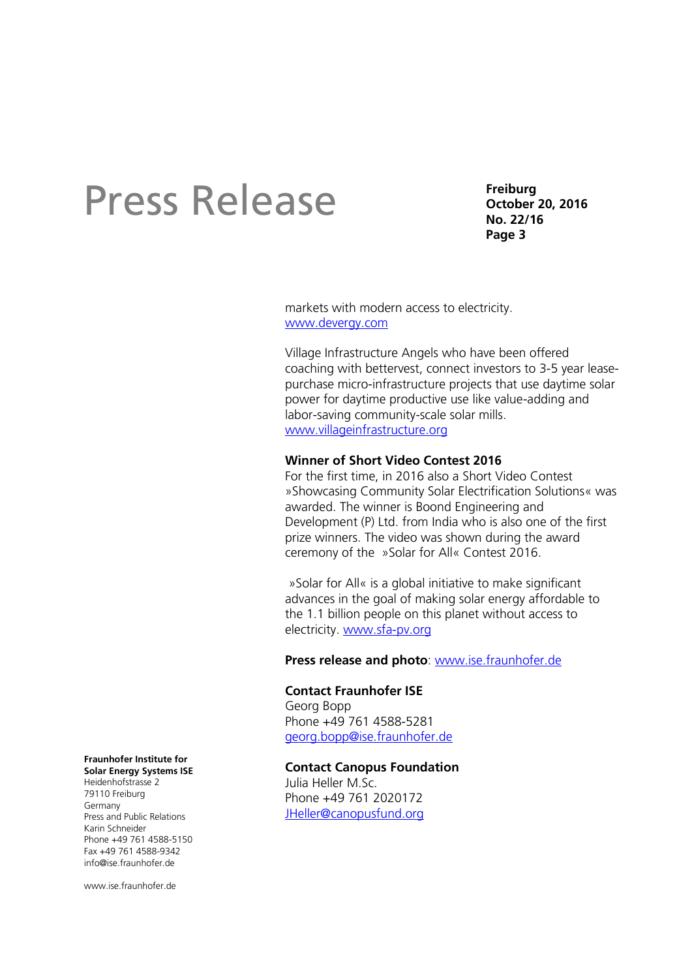**Freiburg October 20, 2016 No. 22/16 Page 3**

markets with modern access to electricity. [www.devergy.com](http://www.devergy.com/)

Village Infrastructure Angels who have been offered coaching with bettervest, connect investors to 3-5 year leasepurchase micro-infrastructure projects that use daytime solar power for daytime productive use like value-adding and labor-saving community-scale solar mills. [www.villageinfrastructure.org](http://www.villageinfrastructure.org/)

### **Winner of Short Video Contest 2016**

For the first time, in 2016 also a Short Video Contest »Showcasing Community Solar Electrification Solutions« was awarded. The winner is Boond Engineering and Development (P) Ltd. from India who is also one of the first prize winners. The video was shown during the award ceremony of the »Solar for All« Contest 2016.

»Solar for All« is a global initiative to make significant advances in the goal of making solar energy affordable to the 1.1 billion people on this planet without access to electricity. [www.sfa-pv.org](http://www.sfa-pv.org/)

**Press release and photo**: [www.ise.fraunhofer.de](https://www.ise.fraunhofer.de/en/)

### **Contact Fraunhofer ISE**

Georg Bopp Phone +49 761 4588-5281 [georg.bopp@ise.fraunhofer.de](mailto:georg.bopp@ise.fraunhofer.de)

### **Contact Canopus Foundation**

Julia Heller M.Sc. Phone +49 761 2020172 [JHeller@canopusfund.org](mailto:JHeller@canopusfund.org)

**Fraunhofer Institute for Solar Energy Systems ISE**

Heidenhofstrasse 2 79110 Freiburg Germany Press and Public Relations Karin Schneider Phone +49 761 4588-5150 Fax +49 761 4588-9342 info@ise.fraunhofer.de

www.jse.fraunhofer.de